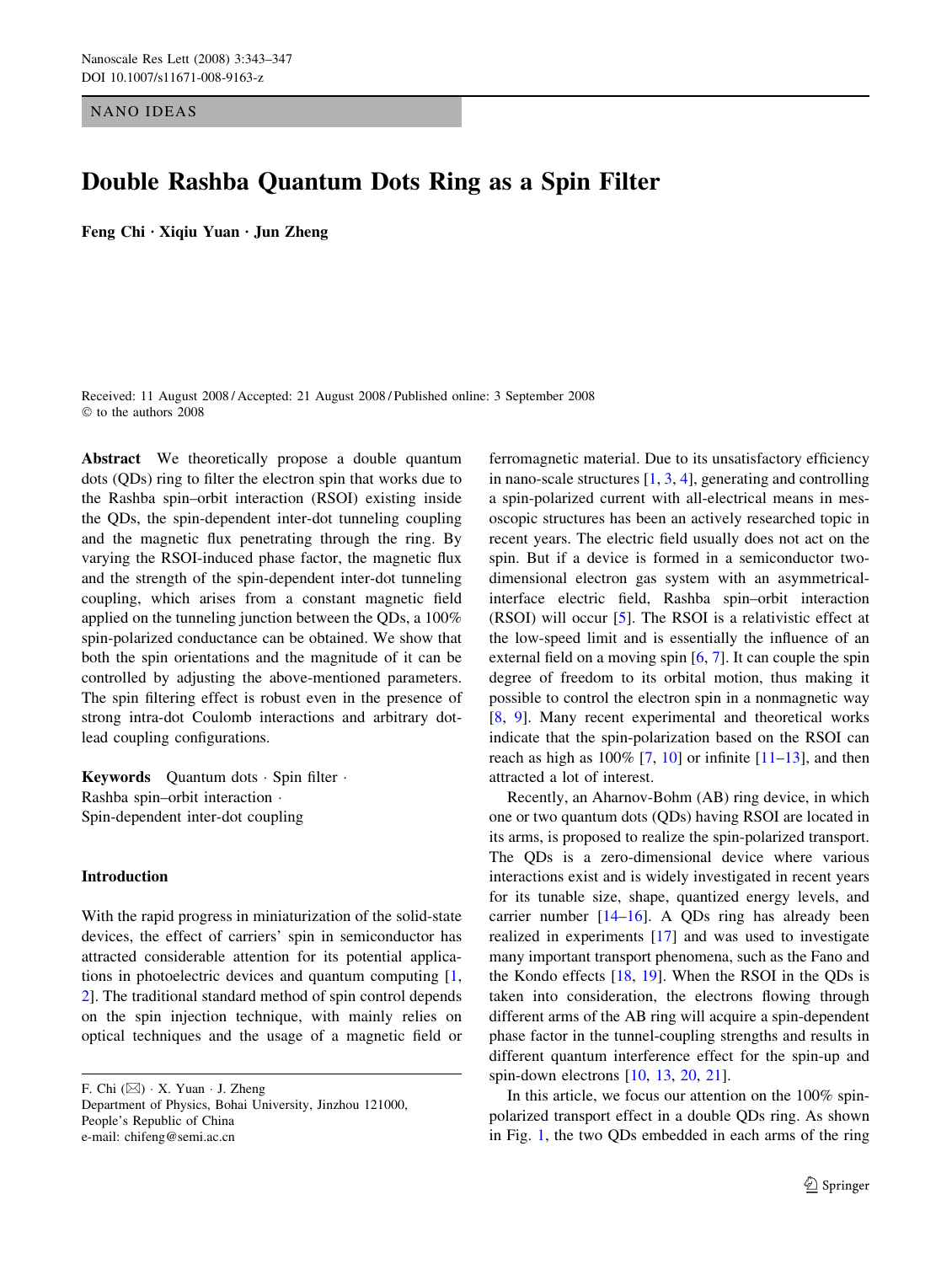NANO IDEAS

# Double Rashba Quantum Dots Ring as a Spin Filter

Feng Chi  $\cdot$  Xiqiu Yuan  $\cdot$  Jun Zheng

Received: 11 August 2008 / Accepted: 21 August 2008 / Published online: 3 September 2008  $©$  to the authors 2008

Abstract We theoretically propose a double quantum dots (QDs) ring to filter the electron spin that works due to the Rashba spin–orbit interaction (RSOI) existing inside the QDs, the spin-dependent inter-dot tunneling coupling and the magnetic flux penetrating through the ring. By varying the RSOI-induced phase factor, the magnetic flux and the strength of the spin-dependent inter-dot tunneling coupling, which arises from a constant magnetic field applied on the tunneling junction between the QDs, a 100% spin-polarized conductance can be obtained. We show that both the spin orientations and the magnitude of it can be controlled by adjusting the above-mentioned parameters. The spin filtering effect is robust even in the presence of strong intra-dot Coulomb interactions and arbitrary dotlead coupling configurations.

**Keywords** Quantum dots  $\cdot$  Spin filter  $\cdot$ Rashba spin–orbit interaction Spin-dependent inter-dot coupling

## Introduction

With the rapid progress in miniaturization of the solid-state devices, the effect of carriers' spin in semiconductor has attracted considerable attention for its potential applications in photoelectric devices and quantum computing [[1,](#page-4-0) [2](#page-4-0)]. The traditional standard method of spin control depends on the spin injection technique, with mainly relies on optical techniques and the usage of a magnetic field or

F. Chi  $(\boxtimes) \cdot X$ . Yuan  $\cdot$  J. Zheng Department of Physics, Bohai University, Jinzhou 121000, People's Republic of China e-mail: chifeng@semi.ac.cn

ferromagnetic material. Due to its unsatisfactory efficiency in nano-scale structures [\[1](#page-4-0), [3,](#page-4-0) [4\]](#page-4-0), generating and controlling a spin-polarized current with all-electrical means in mesoscopic structures has been an actively researched topic in recent years. The electric field usually does not act on the spin. But if a device is formed in a semiconductor twodimensional electron gas system with an asymmetricalinterface electric field, Rashba spin–orbit interaction (RSOI) will occur [\[5](#page-4-0)]. The RSOI is a relativistic effect at the low-speed limit and is essentially the influence of an external field on a moving spin [[6,](#page-4-0) [7\]](#page-4-0). It can couple the spin degree of freedom to its orbital motion, thus making it possible to control the electron spin in a nonmagnetic way [\[8](#page-4-0), [9\]](#page-4-0). Many recent experimental and theoretical works indicate that the spin-polarization based on the RSOI can reach as high as  $100\%$  [\[7](#page-4-0), [10\]](#page-4-0) or infinite [[11–13\]](#page-4-0), and then attracted a lot of interest.

Recently, an Aharnov-Bohm (AB) ring device, in which one or two quantum dots (QDs) having RSOI are located in its arms, is proposed to realize the spin-polarized transport. The QDs is a zero-dimensional device where various interactions exist and is widely investigated in recent years for its tunable size, shape, quantized energy levels, and carrier number  $[14–16]$  $[14–16]$ . A QDs ring has already been realized in experiments [[17\]](#page-4-0) and was used to investigate many important transport phenomena, such as the Fano and the Kondo effects  $[18, 19]$  $[18, 19]$  $[18, 19]$  $[18, 19]$  $[18, 19]$ . When the RSOI in the QDs is taken into consideration, the electrons flowing through different arms of the AB ring will acquire a spin-dependent phase factor in the tunnel-coupling strengths and results in different quantum interference effect for the spin-up and spin-down electrons [\[10](#page-4-0), [13](#page-4-0), [20,](#page-4-0) [21\]](#page-4-0).

In this article, we focus our attention on the 100% spinpolarized transport effect in a double QDs ring. As shown in Fig. [1](#page-1-0), the two QDs embedded in each arms of the ring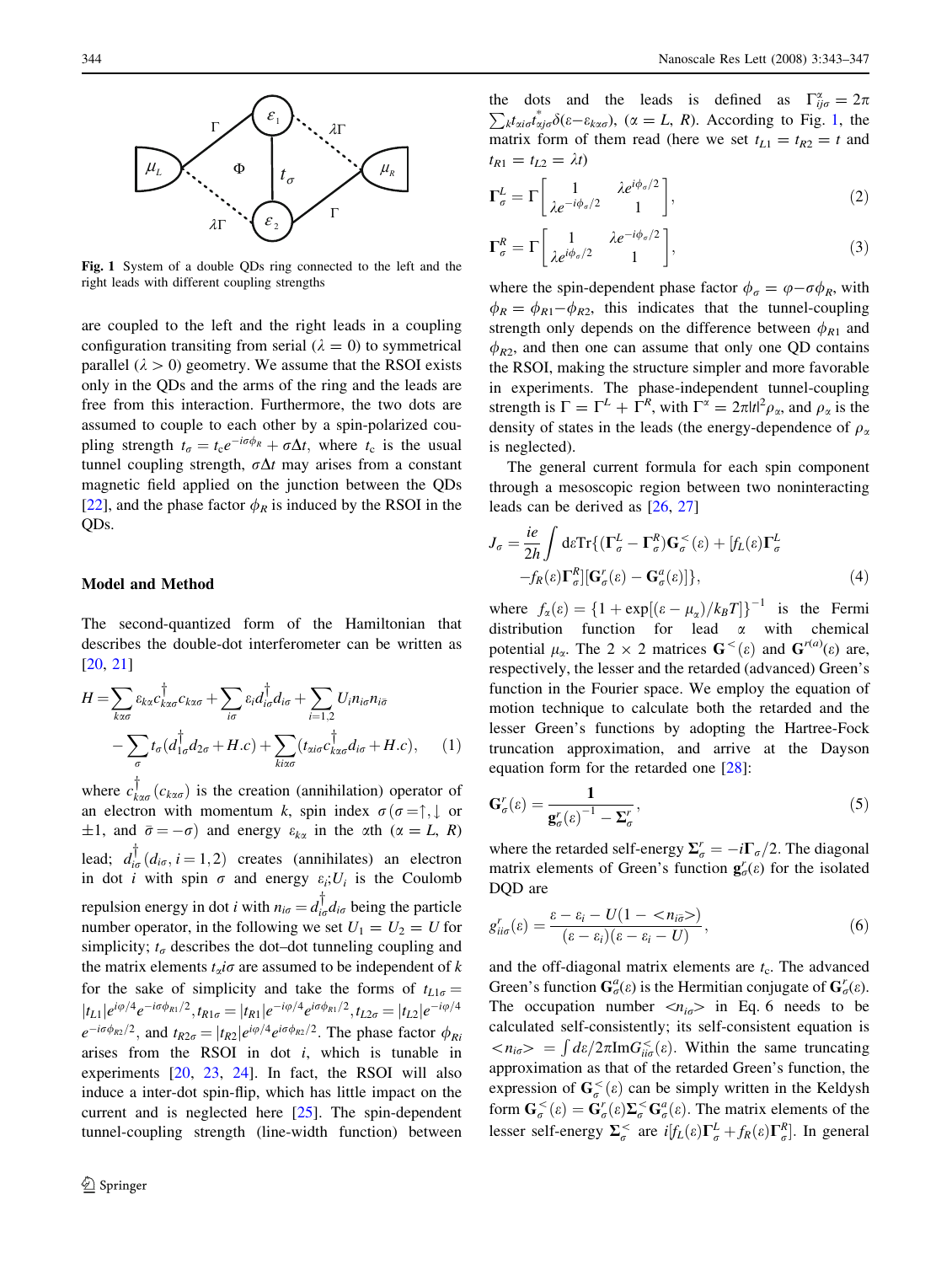<span id="page-1-0"></span>

Fig. 1 System of a double QDs ring connected to the left and the right leads with different coupling strengths

are coupled to the left and the right leads in a coupling configuration transiting from serial ( $\lambda = 0$ ) to symmetrical parallel ( $\lambda > 0$ ) geometry. We assume that the RSOI exists only in the QDs and the arms of the ring and the leads are free from this interaction. Furthermore, the two dots are assumed to couple to each other by a spin-polarized coupling strength  $t_{\sigma} = t_{c}e^{-i\sigma\phi_{R}} + \sigma\Delta t$ , where  $t_{c}$  is the usual tunnel coupling strength,  $\sigma \Delta t$  may arises from a constant magnetic field applied on the junction between the QDs [\[22](#page-4-0)], and the phase factor  $\phi_R$  is induced by the RSOI in the QDs.

#### Model and Method

The second-quantized form of the Hamiltonian that describes the double-dot interferometer can be written as [\[20](#page-4-0), [21](#page-4-0)]

$$
H = \sum_{k\alpha\sigma} \varepsilon_{k\alpha} c_{k\alpha\sigma}^{\dagger} + \sum_{i\sigma} \varepsilon_i d_{i\sigma}^{\dagger} d_{i\sigma} + \sum_{i=1,2} U_i n_{i\sigma} n_{i\bar{\sigma}} - \sum_{\sigma} t_{\sigma} (d_{1\sigma}^{\dagger} d_{2\sigma} + H.c) + \sum_{k\alpha\sigma} (t_{\alpha i\sigma} c_{k\alpha\sigma}^{\dagger} d_{i\sigma} + H.c), \quad (1)
$$

where  $c_{k\alpha\sigma}^{\dagger}(c_{k\alpha\sigma})$  is the creation (annihilation) operator of an electron with momentum k, spin index  $\sigma(\sigma = \uparrow, \downarrow)$  or  $\pm 1$ , and  $\bar{\sigma} = -\sigma$ ) and energy  $\varepsilon_{k\alpha}$  in the  $\alpha$ th ( $\alpha = L$ , R) lead;  $d_{i\sigma}^{\dagger}(d_{i\sigma}, i=1,2)$  creates (annihilates) an electron in dot *i* with spin  $\sigma$  and energy  $\varepsilon_i$ ;  $U_i$  is the Coulomb repulsion energy in dot *i* with  $n_{i\sigma} = d_{i\sigma}^{\dagger} d_{i\sigma}$  being the particle number operator, in the following we set  $U_1 = U_2 = U$  for simplicity;  $t_{\sigma}$  describes the dot–dot tunneling coupling and the matrix elements  $t_a$ *io* are assumed to be independent of k for the sake of simplicity and take the forms of  $t_{L1\sigma} =$  $|t_{L1}|e^{i\varphi/4}e^{-i\sigma\phi_{R1}/2}, t_{R1\sigma} = |t_{R1}|e^{-i\varphi/4}e^{i\sigma\phi_{R1}/2}, t_{L2\sigma} = |t_{L2}|e^{-i\varphi/4}$  $e^{-i\sigma\phi_{R2}/2}$ , and  $t_{R2\sigma} = |t_{R2}|e^{i\varphi/4}e^{i\sigma\phi_{R2}/2}$ . The phase factor  $\phi_{Ri}$ arises from the RSOI in dot  $i$ , which is tunable in experiments [\[20](#page-4-0), [23](#page-4-0), [24\]](#page-4-0). In fact, the RSOI will also induce a inter-dot spin-flip, which has little impact on the current and is neglected here [[25\]](#page-4-0). The spin-dependent tunnel-coupling strength (line-width function) between

the dots and the leads is defined as  $\Gamma_{ij\sigma}^{\alpha} = 2\pi$ <br>  $\sum_{i} t_i \frac{k}{\delta(c_i, c_j)}$  ( $\alpha = I_{\alpha} P$ ) According to Fig. 1, the  $_{k}t_{\alpha i\sigma}t_{\alpha j\sigma}^{*}\delta(\varepsilon-\varepsilon_{k\alpha\sigma}),$   $(\alpha=L, R)$ . According to Fig. 1, the matrix form of them read (here we set  $t_{L1} = t_{R2} = t$  and  $t_{R1} = t_{L2} = \lambda t$ 

$$
\Gamma_{\sigma}^{L} = \Gamma \begin{bmatrix} 1 & \lambda e^{i\phi_{\sigma}/2} \\ \lambda e^{-i\phi_{\sigma}/2} & 1 \end{bmatrix},
$$
 (2)

$$
\Gamma_{\sigma}^{R} = \Gamma \left[ \begin{array}{cc} 1 & \lambda e^{-i\phi_{\sigma}/2} \\ \lambda e^{i\phi_{\sigma}/2} & 1 \end{array} \right],
$$
 (3)

where the spin-dependent phase factor  $\phi_{\sigma} = \varphi - \sigma \phi_R$ , with  $\phi_R = \phi_{R1} - \phi_{R2}$ , this indicates that the tunnel-coupling strength only depends on the difference between  $\phi_{R1}$  and  $\phi_{R2}$ , and then one can assume that only one QD contains the RSOI, making the structure simpler and more favorable in experiments. The phase-independent tunnel-coupling strength is  $\Gamma = \Gamma^L + \Gamma^R$ , with  $\Gamma^{\alpha} = 2\pi |t|^2 \rho_{\alpha}$ , and  $\rho_{\alpha}$  is the density of states in the leads (the energy-dependence of  $\rho_{\alpha}$ is neglected).

The general current formula for each spin component through a mesoscopic region between two noninteracting leads can be derived as [\[26](#page-4-0), [27](#page-4-0)]

$$
J_{\sigma} = \frac{ie}{2h} \int d\varepsilon \text{Tr}\{ (\mathbf{\Gamma}_{\sigma}^{L} - \mathbf{\Gamma}_{\sigma}^{R}) \mathbf{G}_{\sigma}^{<}( \varepsilon) + [f_{L}(\varepsilon) \mathbf{\Gamma}_{\sigma}^{L} -f_{R}(\varepsilon) \mathbf{\Gamma}_{\sigma}^{R}][\mathbf{G}_{\sigma}^{r}(\varepsilon) - \mathbf{G}_{\sigma}^{a}(\varepsilon)] \},
$$
(4)

where  $f_{\alpha}(\varepsilon) = \left\{1 + \exp[(\varepsilon - \mu_{\alpha})/k_{B}T]\right\}^{-1}$  is the Fermi distribution function for lead  $\alpha$  with chemical potential  $\mu_{\alpha}$ . The 2 × 2 matrices  $\mathbf{G}^{\lt}(\varepsilon)$  and  $\mathbf{G}^{r(a)}(\varepsilon)$  are, respectively, the lesser and the retarded (advanced) Green's function in the Fourier space. We employ the equation of motion technique to calculate both the retarded and the lesser Green's functions by adopting the Hartree-Fock truncation approximation, and arrive at the Dayson equation form for the retarded one [[28\]](#page-4-0):

$$
\mathbf{G}'_{\sigma}(\varepsilon) = \frac{1}{\mathbf{g}'_{\sigma}(\varepsilon)^{-1} - \Sigma'_{\sigma}},\tag{5}
$$

where the retarded self-energy  $\Sigma_{\sigma}^r = -i\Gamma_{\sigma}/2$ . The diagonal matrix elements of Green's function  $\mathbf{g}_{\sigma}^{r}(\varepsilon)$  for the isolated DQD are

$$
g_{ii\sigma}^r(\varepsilon) = \frac{\varepsilon - \varepsilon_i - U(1 - \langle n_{i\bar{\sigma}} \rangle)}{(\varepsilon - \varepsilon_i)(\varepsilon - \varepsilon_i - U)},
$$
\n(6)

and the off-diagonal matrix elements are  $t_c$ . The advanced Green's function  $G_{\sigma}^{a}(\varepsilon)$  is the Hermitian conjugate of  $G_{\sigma}^{r}(\varepsilon)$ . The occupation number  $\langle n_{i\sigma} \rangle$  in Eq. 6 needs to be calculated self-consistently; its self-consistent equation is  $\langle n_{i\sigma}\rangle = \int d\varepsilon/2\pi \text{Im}G_{ii\sigma}^{\epsilon}(\varepsilon)$ . Within the same truncating approximation as that of the retarded Green's function, the expression of  $\mathbf{G}_{\sigma}^{<}( \varepsilon )$  can be simply written in the Keldysh form  $\mathbf{G}_{\sigma}^{<}(s) = \mathbf{G}_{\sigma}^{r}(s) \Sigma_{\sigma}^{<} \mathbf{G}_{\sigma}^{a}(s)$ . The matrix elements of the lesser self-energy  $\Sigma_{\sigma}^{\lt}$  are  $i[f_L(\varepsilon)\Gamma_{\sigma}^L + f_R(\varepsilon)\Gamma_{\sigma}^R]$ . In general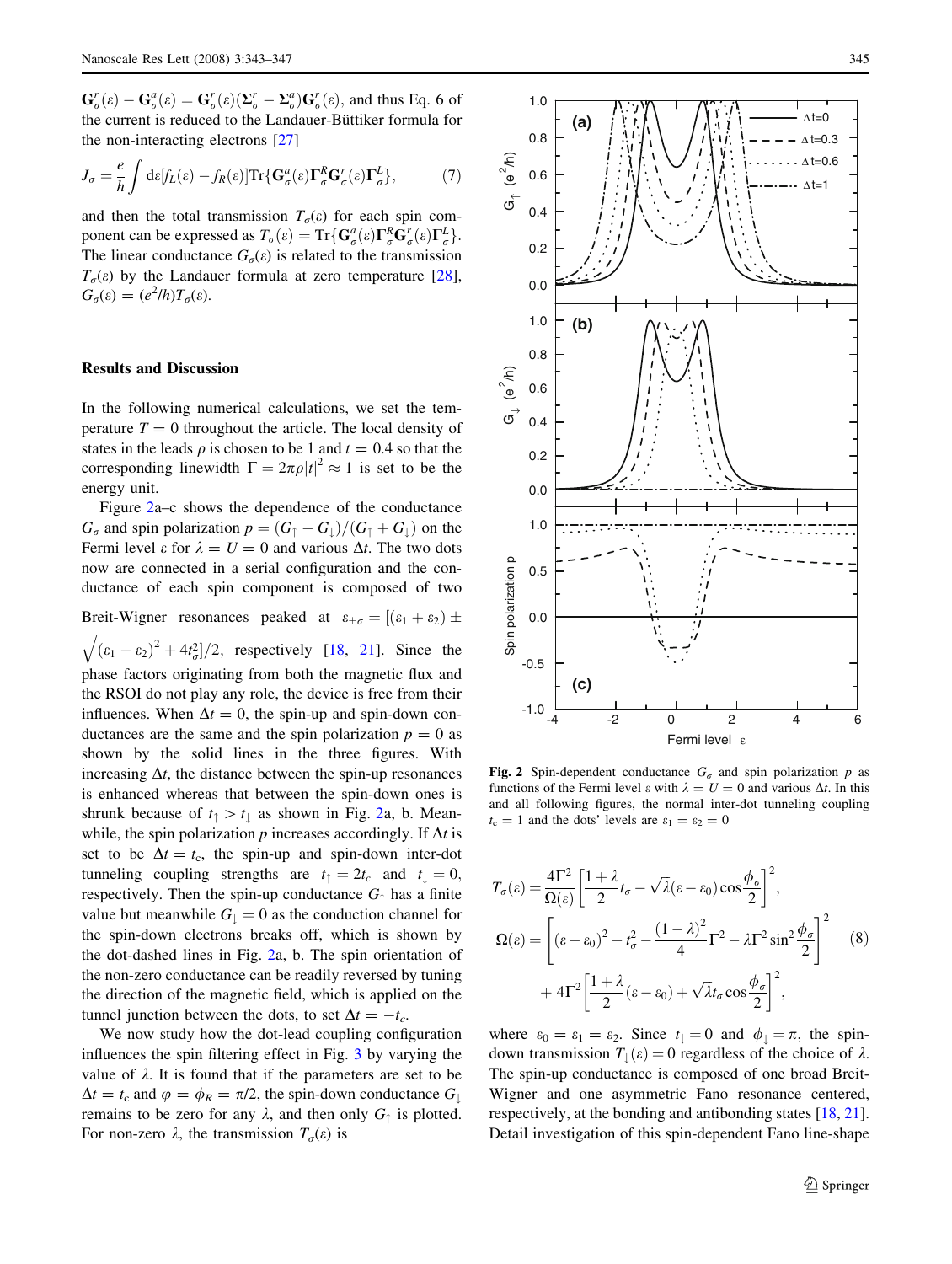<span id="page-2-0"></span> $\mathbf{G}_{\sigma}^r(\varepsilon) - \mathbf{G}_{\sigma}^a(\varepsilon) = \mathbf{G}_{\sigma}^r(\varepsilon)(\mathbf{\Sigma}_{\sigma}^r - \mathbf{\Sigma}_{\sigma}^a)\mathbf{G}_{\sigma}^r(\varepsilon)$ , and thus Eq. 6 of the current is reduced to the Landauer-Büttiker formula for the non-interacting electrons [\[27\]](#page-4-0)

$$
J_{\sigma} = \frac{e}{h} \int d\varepsilon [f_L(\varepsilon) - f_R(\varepsilon)] \text{Tr} \{ \mathbf{G}_{\sigma}^a(\varepsilon) \mathbf{\Gamma}_{\sigma}^R \mathbf{G}_{\sigma}^r(\varepsilon) \mathbf{\Gamma}_{\sigma}^L \}, \tag{7}
$$

and then the total transmission  $T<sub>\sigma</sub>(\varepsilon)$  for each spin component can be expressed as  $T_{\sigma}(\varepsilon) = \text{Tr}\{\mathbf{G}^{\alpha}_{\sigma}(\varepsilon)\mathbf{\Gamma}^{R}_{\sigma}\mathbf{G}^{r}_{\sigma}(\varepsilon)\mathbf{\Gamma}^{L}_{\sigma}\}.$ The linear conductance  $G_{\sigma}(\varepsilon)$  is related to the transmission  $T<sub>\sigma</sub>(\varepsilon)$  by the Landauer formula at zero temperature [\[28](#page-4-0)],  $G_{\sigma}(\varepsilon) = (e^2/h)T_{\sigma}(\varepsilon).$ 

## Results and Discussion

In the following numerical calculations, we set the temperature  $T = 0$  throughout the article. The local density of states in the leads  $\rho$  is chosen to be 1 and  $t = 0.4$  so that the corresponding linewidth  $\Gamma = 2\pi \rho |t|^2 \approx 1$  is set to be the energy unit.

Figure 2a–c shows the dependence of the conductance  $G_{\sigma}$  and spin polarization  $p = (G_{\uparrow} - G_{\downarrow})/(G_{\uparrow} + G_{\downarrow})$  on the Fermi level  $\varepsilon$  for  $\lambda = U = 0$  and various  $\Delta t$ . The two dots now are connected in a serial configuration and the conductance of each spin component is composed of two

Breit-Wigner resonances peaked at  $\varepsilon_{\pm\sigma} = [(\varepsilon_1 + \varepsilon_2) \pm$ 

 $\left(\varepsilon_1-\varepsilon_2\right)^2+4t_\sigma^2$  $\overline{a}$  $]/2$ , respectively  $[18, 21]$  $[18, 21]$  $[18, 21]$  $[18, 21]$  $[18, 21]$ . Since the phase factors originating from both the magnetic flux and the RSOI do not play any role, the device is free from their influences. When  $\Delta t = 0$ , the spin-up and spin-down conductances are the same and the spin polarization  $p = 0$  as shown by the solid lines in the three figures. With increasing  $\Delta t$ , the distance between the spin-up resonances is enhanced whereas that between the spin-down ones is shrunk because of  $t_{\uparrow} > t_{\downarrow}$  as shown in Fig. 2a, b. Meanwhile, the spin polarization p increases accordingly. If  $\Delta t$  is set to be  $\Delta t = t_c$ , the spin-up and spin-down inter-dot tunneling coupling strengths are  $t_{\uparrow} = 2t_c$  and  $t_{\uparrow} = 0$ , respectively. Then the spin-up conductance  $G_{\uparrow}$  has a finite value but meanwhile  $G_{\perp} = 0$  as the conduction channel for the spin-down electrons breaks off, which is shown by the dot-dashed lines in Fig. 2a, b. The spin orientation of the non-zero conductance can be readily reversed by tuning the direction of the magnetic field, which is applied on the tunnel junction between the dots, to set  $\Delta t = -t_c$ .

We now study how the dot-lead coupling configuration influences the spin filtering effect in Fig. [3](#page-3-0) by varying the value of  $\lambda$ . It is found that if the parameters are set to be  $\Delta t = t_{\rm c}$  and  $\varphi = \phi_R = \pi/2$ , the spin-down conductance  $G_{\downarrow}$ remains to be zero for any  $\lambda$ , and then only  $G_{\uparrow}$  is plotted. For non-zero  $\lambda$ , the transmission  $T_{\sigma}(\varepsilon)$  is



Fig. 2 Spin-dependent conductance  $G_{\sigma}$  and spin polarization p as functions of the Fermi level  $\varepsilon$  with  $\lambda = U = 0$  and various  $\Delta t$ . In this and all following figures, the normal inter-dot tunneling coupling  $t_c = 1$  and the dots' levels are  $\varepsilon_1 = \varepsilon_2 = 0$ 

$$
T_{\sigma}(\varepsilon) = \frac{4\Gamma^2}{\Omega(\varepsilon)} \left[ \frac{1+\lambda}{2} t_{\sigma} - \sqrt{\lambda} (\varepsilon - \varepsilon_0) \cos \frac{\phi_{\sigma}}{2} \right]^2,
$$
  

$$
\Omega(\varepsilon) = \left[ (\varepsilon - \varepsilon_0)^2 - t_{\sigma}^2 - \frac{(1-\lambda)^2}{4} \Gamma^2 - \lambda \Gamma^2 \sin^2 \frac{\phi_{\sigma}}{2} \right]^2 \quad (8)
$$
  

$$
+ 4\Gamma^2 \left[ \frac{1+\lambda}{2} (\varepsilon - \varepsilon_0) + \sqrt{\lambda} t_{\sigma} \cos \frac{\phi_{\sigma}}{2} \right]^2,
$$

where  $\varepsilon_0 = \varepsilon_1 = \varepsilon_2$ . Since  $t_{\perp} = 0$  and  $\phi_{\perp} = \pi$ , the spindown transmission  $T_{\perp}(\varepsilon) = 0$  regardless of the choice of  $\lambda$ . The spin-up conductance is composed of one broad Breit-Wigner and one asymmetric Fano resonance centered, respectively, at the bonding and antibonding states [[18,](#page-4-0) [21](#page-4-0)]. Detail investigation of this spin-dependent Fano line-shape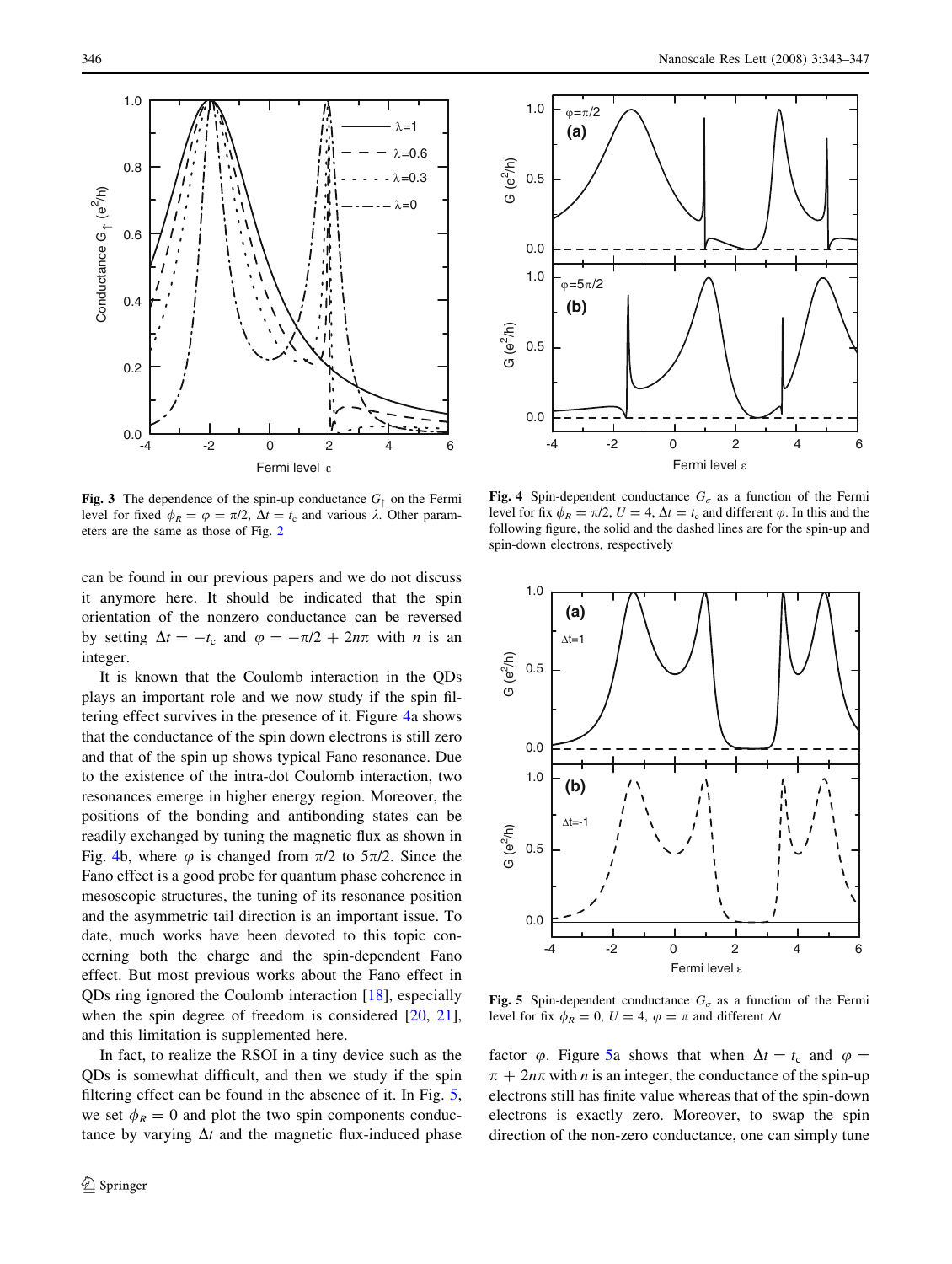<span id="page-3-0"></span>

Fig. 3 The dependence of the spin-up conductance  $G<sub>†</sub>$  on the Fermi level for fixed  $\phi_R = \varphi = \pi/2$ ,  $\Delta t = t_c$  and various  $\lambda$ . Other parameters are the same as those of Fig. [2](#page-2-0)

can be found in our previous papers and we do not discuss it anymore here. It should be indicated that the spin orientation of the nonzero conductance can be reversed by setting  $\Delta t = -t_c$  and  $\varphi = -\pi/2 + 2n\pi$  with *n* is an integer.

It is known that the Coulomb interaction in the QDs plays an important role and we now study if the spin filtering effect survives in the presence of it. Figure 4a shows that the conductance of the spin down electrons is still zero and that of the spin up shows typical Fano resonance. Due to the existence of the intra-dot Coulomb interaction, two resonances emerge in higher energy region. Moreover, the positions of the bonding and antibonding states can be readily exchanged by tuning the magnetic flux as shown in Fig. 4b, where  $\varphi$  is changed from  $\pi/2$  to  $5\pi/2$ . Since the Fano effect is a good probe for quantum phase coherence in mesoscopic structures, the tuning of its resonance position and the asymmetric tail direction is an important issue. To date, much works have been devoted to this topic concerning both the charge and the spin-dependent Fano effect. But most previous works about the Fano effect in QDs ring ignored the Coulomb interaction [\[18](#page-4-0)], especially when the spin degree of freedom is considered [[20,](#page-4-0) [21](#page-4-0)], and this limitation is supplemented here.

In fact, to realize the RSOI in a tiny device such as the QDs is somewhat difficult, and then we study if the spin filtering effect can be found in the absence of it. In Fig. 5, we set  $\phi_R = 0$  and plot the two spin components conductance by varying  $\Delta t$  and the magnetic flux-induced phase



Fig. 4 Spin-dependent conductance  $G_{\sigma}$  as a function of the Fermi level for fix  $\phi_R = \pi/2$ ,  $U = 4$ ,  $\Delta t = t_c$  and different  $\varphi$ . In this and the following figure, the solid and the dashed lines are for the spin-up and spin-down electrons, respectively



Fig. 5 Spin-dependent conductance  $G_{\sigma}$  as a function of the Fermi level for fix  $\phi_R = 0$ ,  $U = 4$ ,  $\phi = \pi$  and different  $\Delta t$ 

factor  $\varphi$ . Figure 5a shows that when  $\Delta t = t_c$  and  $\varphi =$  $\pi + 2n\pi$  with *n* is an integer, the conductance of the spin-up electrons still has finite value whereas that of the spin-down electrons is exactly zero. Moreover, to swap the spin direction of the non-zero conductance, one can simply tune